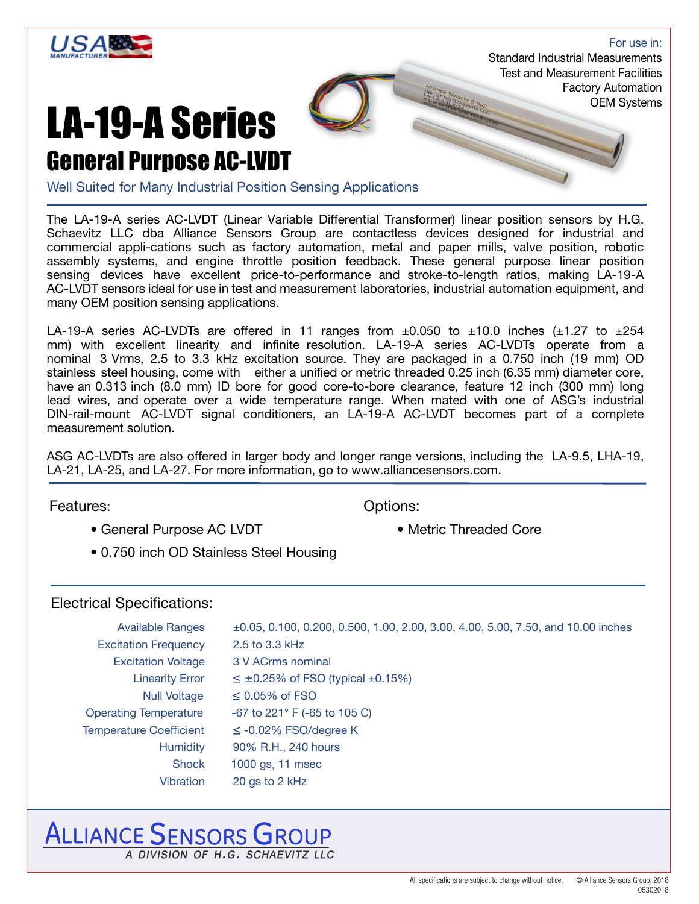

For use in: Standard Industrial Measurements Test and Measurement Facilities Factory Automation OEM Systems

### LA-19-A Series General Purpose AC-LVDT

Well Suited for Many Industrial Position Sensing Applications

The LA-19-A series AC-LVDT (Linear Variable Differential Transformer) linear position sensors by H.G. Schaevitz LLC dba Alliance Sensors Group are contactless devices designed for industrial and commercial appli-cations such as factory automation, metal and paper mills, valve position, robotic assembly systems, and engine throttle position feedback. These general purpose linear position sensing devices have excellent price-to-performance and stroke-to-length ratios, making LA-19-A AC-LVDT sensors ideal for use in test and measurement laboratories, industrial automation equipment, and many OEM position sensing applications.

LA-19-A series AC-LVDTs are offered in 11 ranges from  $\pm 0.050$  to  $\pm 10.0$  inches ( $\pm 1.27$  to  $\pm 254$ mm) with excellent linearity and infinite resolution. LA-19-A series AC-LVDTs operate from a nominal 3 Vrms, 2.5 to 3.3 kHz excitation source. They are packaged in a 0.750 inch (19 mm) OD stainless steel housing, come with either a unified or metric threaded 0.25 inch (6.35 mm) diameter core, have an 0.313 inch (8.0 mm) ID bore for good core-to-bore clearance, feature 12 inch (300 mm) long lead wires, and operate over a wide temperature range. When mated with one of ASG's industrial DIN-rail-mount AC-LVDT signal conditioners, an LA-19-A AC-LVDT becomes part of a complete measurement solution.

ASG AC-LVDTs are also offered in larger body and longer range versions, including the LA-9.5, LHA-19, LA-21, LA-25, and LA-27. For more information, go to www.alliancesensors.com.

Features: Continued by The Continued Base of Continued Base of Continued Base of Continued Base of Continued B

- General Purpose AC LVDT Metric Threaded Core
- -
- 0.750 inch OD Stainless Steel Housing

#### Electrical Specifications:

| <b>Available Ranges</b>        | $\pm 0.05$ , 0.100, 0.200, 0.500, 1.00, 2.00, 3.00, 4.00, 5.00, 7.50, and 10.00 inches |
|--------------------------------|----------------------------------------------------------------------------------------|
| <b>Excitation Frequency</b>    | 2.5 to 3.3 kHz                                                                         |
| <b>Excitation Voltage</b>      | 3 V ACrms nominal                                                                      |
| <b>Linearity Error</b>         | $\leq \pm 0.25\%$ of FSO (typical $\pm 0.15\%$ )                                       |
| <b>Null Voltage</b>            | $\leq$ 0.05% of FSO                                                                    |
| <b>Operating Temperature</b>   | -67 to 221 $\degree$ F (-65 to 105 C)                                                  |
| <b>Temperature Coefficient</b> | $\leq$ -0.02% FSO/degree K                                                             |
| <b>Humidity</b>                | 90% R.H., 240 hours                                                                    |
| <b>Shock</b>                   | 1000 gs, 11 msec                                                                       |
| <b>Vibration</b>               | 20 gs to 2 kHz                                                                         |

### **ALLIANCE SENSORS GROUP** A DIVISION OF H.G. SCHAFVITZ IIC